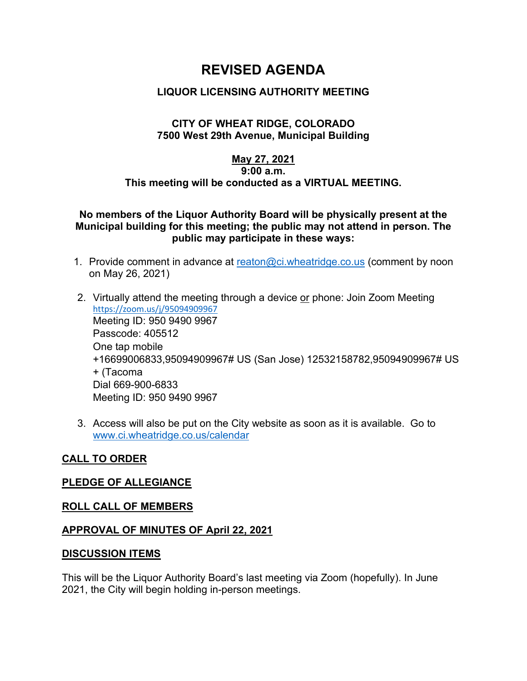# **REVISED AGENDA**

# **LIQUOR LICENSING AUTHORITY MEETING**

## **CITY OF WHEAT RIDGE, COLORADO 7500 West 29th Avenue, Municipal Building**

## **May 27, 2021 9:00 a.m. This meeting will be conducted as a VIRTUAL MEETING.**

## **No members of the Liquor Authority Board will be physically present at the Municipal building for this meeting; the public may not attend in person. The public may participate in these ways:**

- 1. Provide comment in advance at [reaton@ci.wheatridge.co.us](mailto:reaton@ci.wheatridge.co.us) (comment by noon on May 26, 2021)
- 2. Virtually attend the meeting through a device or phone: Join Zoom Meeting <https://zoom.us/j/95094909967> Meeting ID: 950 9490 9967 Passcode: 405512 One tap mobile +16699006833,95094909967# US (San Jose) 12532158782,95094909967# US + (Tacoma Dial 669-900-6833 Meeting ID: 950 9490 9967
- 3. Access will also be put on the City website as soon as it is available. Go to [www.ci.wheatridge.co.us/calendar](http://www.ci.wheatridge.co.us/calendar)

# **CALL TO ORDER**

### **PLEDGE OF ALLEGIANCE**

### **ROLL CALL OF MEMBERS**

### **APPROVAL OF MINUTES OF April 22, 2021**

### **DISCUSSION ITEMS**

This will be the Liquor Authority Board's last meeting via Zoom (hopefully). In June 2021, the City will begin holding in-person meetings.